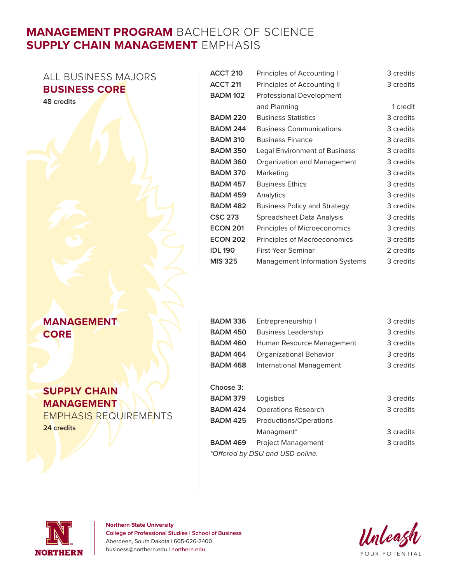# **MANAGEMENT PROGRAM** BACHELOR OF SCIENCE **SUPPLY CHAIN MANAGEMENT** EMPHASIS

ALL BUSINESS MAJORS **BUSINESS CORE**

**48 credits**

### **MANAGEMENT CORE**

## **SUPPLY CHAIN MANAGEMENT**

EMPHASIS REQUIREMENTS

**24 credits**

| ACCT <sub>210</sub> | Principles of Accounting I            | 3 credits |
|---------------------|---------------------------------------|-----------|
| ACCT <sub>211</sub> | Principles of Accounting II           | 3 credits |
| <b>BADM 102</b>     | <b>Professional Development</b>       |           |
|                     | and Planning                          | 1 credit  |
| <b>BADM 220</b>     | <b>Business Statistics</b>            | 3 credits |
| <b>BADM 244</b>     | <b>Business Communications</b>        | 3 credits |
| <b>BADM 310</b>     | <b>Business Finance</b>               | 3 credits |
| <b>BADM 350</b>     | Legal Environment of Business         | 3 credits |
| <b>BADM 360</b>     | Organization and Management           | 3 credits |
| <b>BADM 370</b>     | Marketing                             | 3 credits |
| <b>BADM 457</b>     | <b>Business Ethics</b>                | 3 credits |
| <b>BADM 459</b>     | Analytics                             | 3 credits |
| <b>BADM 482</b>     | <b>Business Policy and Strategy</b>   | 3 credits |
| <b>CSC 273</b>      | Spreadsheet Data Analysis             | 3 credits |
| <b>ECON 201</b>     | Principles of Microeconomics          | 3 credits |
| <b>ECON 202</b>     | Principles of Macroeconomics          | 3 credits |
| <b>IDL 190</b>      | First Year Seminar                    | 2 credits |
| <b>MIS 325</b>      | <b>Management Information Systems</b> | 3 credits |

| BADM 336        | Entrepreneurship I                        | 3 credits |
|-----------------|-------------------------------------------|-----------|
| BADM 450        | <b>Business Leadership</b>                | 3 credits |
|                 | <b>BADM 460</b> Human Resource Management | 3 credits |
| <b>BADM 464</b> | Organizational Behavior                   | 3 credits |
| <b>BADM 468</b> | International Management                  | 3 credits |

### **Choose 3:**

| BADM 379                        | Logistics                  | 3 credits |  |  |
|---------------------------------|----------------------------|-----------|--|--|
| <b>BADM 424</b>                 | <b>Operations Research</b> | 3 credits |  |  |
| BADM 425                        | Productions/Operations     |           |  |  |
|                                 | Managment <sup>*</sup>     | 3 credits |  |  |
| BADM 469                        | <b>Project Management</b>  | 3 credits |  |  |
| *Offered by DSU and USD online. |                            |           |  |  |
|                                 |                            |           |  |  |



#### **Northern State University College of Professional Studies | School of Business** Aberdeen, South Dakota | 605-626-2400 business@northern.edu | northern.edu